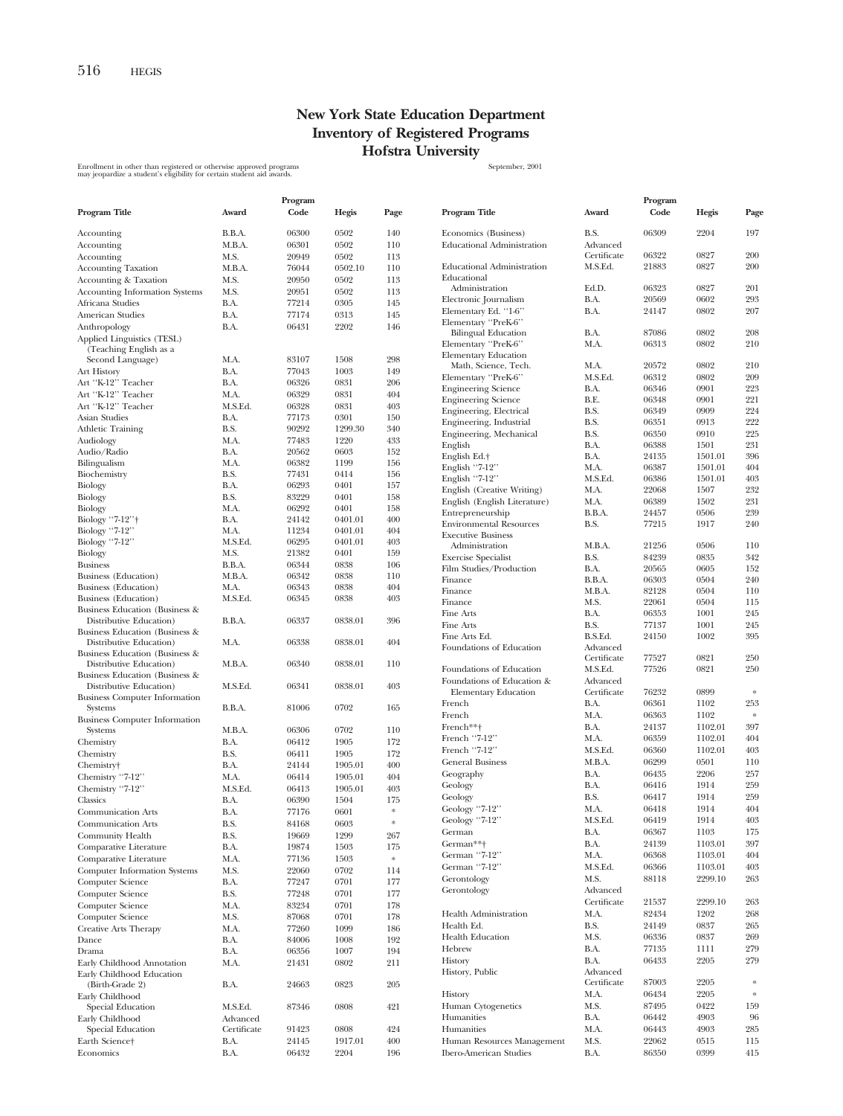## **New York State Education Department Inventory of Registered Programs Hofstra University**

Enrollment in other than registered or otherwise approved programs states and the state of the September, 2001<br>may jeopardize a student's eligibility for certain student aid awards.

|                                                           |             | Program |         |      |                                                  |                | Program        |              |               |
|-----------------------------------------------------------|-------------|---------|---------|------|--------------------------------------------------|----------------|----------------|--------------|---------------|
| Program Title                                             | Award       | Code    | Hegis   | Page | Program Title                                    | Award          | Code           | Hegis        | Page          |
| Accounting                                                | B.B.A.      | 06300   | 0502    | 140  | Economics (Business)                             | B.S.           | 06309          | 2204         | 197           |
| Accounting                                                | M.B.A.      | 06301   | 0502    | 110  | <b>Educational Administration</b>                | Advanced       |                |              |               |
| Accounting                                                | M.S.        | 20949   | 0502    | 113  |                                                  | Certificate    | 06322          | 0827         | 200           |
| <b>Accounting Taxation</b>                                | M.B.A.      | 76044   | 0502.10 | 110  | <b>Educational Administration</b>                | M.S.Ed.        | 21883          | 0827         | 200           |
| <b>Accounting &amp; Taxation</b>                          | M.S.        | 20950   | 0502    | 113  | Educational<br>Administration                    | Ed.D.          | 06323          | 0827         | 201           |
| <b>Accounting Information Systems</b>                     | M.S.        | 20951   | 0502    | 113  | Electronic Journalism                            | B.A.           | 20569          | 0602         | 293           |
| Africana Studies                                          | B.A.        | 77214   | 0305    | 145  | Elementary Ed. "1-6"                             | B.A.           | 24147          | 0802         | 207           |
| American Studies                                          | B.A.        | 77174   | 0313    | 145  | Elementary "PreK-6"                              |                |                |              |               |
| Anthropology                                              | B.A.        | 06431   | 2202    | 146  | <b>Bilingual Education</b>                       | B.A.           | 87086          | 0802         | 208           |
| Applied Linguistics (TESL)                                |             |         |         |      | Elementary "PreK-6"                              | M.A.           | 06313          | 0802         | 210           |
| (Teaching English as a<br>Second Language)                | M.A.        | 83107   | 1508    | 298  | <b>Elementary Education</b>                      |                |                |              |               |
| Art History                                               | B.A.        | 77043   | 1003    | 149  | Math, Science, Tech.                             | M.A.           | 20572          | 0802         | 210           |
| Art "K-12" Teacher                                        | B.A.        | 06326   | 0831    | 206  | Elementary "PreK-6"                              | M.S.Ed.        | 06312          | 0802         | 209           |
| Art "K-12" Teacher                                        | M.A.        | 06329   | 0831    | 404  | <b>Engineering Science</b>                       | B.A.           | 06346          | 0901         | 223           |
| Art "K-12" Teacher                                        | M.S.Ed.     | 06328   | 0831    | 403  | <b>Engineering Science</b>                       | B.E.           | 06348          | 0901         | 221           |
| Asian Studies                                             | B.A.        | 77173   | 0301    | 150  | Engineering, Electrical                          | B.S.           | 06349          | 0909         | 224           |
| <b>Athletic Training</b>                                  | B.S.        | 90292   | 1299.30 | 340  | Engineering, Industrial                          | B.S.           | 06351          | 0913         | 222           |
| Audiology                                                 | M.A.        | 77483   | 1220    | 433  | Engineering, Mechanical                          | B.S.           | 06350          | 0910         | 225           |
| Audio/Radio                                               | B.A.        | 20562   | 0603    | 152  | English                                          | B.A.           | 06388          | 1501         | 231           |
| Bilingualism                                              | M.A.        | 06382   | 1199    | 156  | English Ed.+                                     | B.A.           | 24135          | 1501.01      | 396           |
| Biochemistry                                              | B.S.        | 77431   | 0414    | 156  | English "7-12"                                   | M.A.           | 06387          | 1501.01      | 404           |
| Biology                                                   | B.A.        | 06293   | 0401    | 157  | English "7-12"                                   | M.S.Ed.        | 06386          | 1501.01      | 403           |
| Biology                                                   | B.S.        | 83229   | 0401    | 158  | English (Creative Writing)                       | M.A.           | 22068          | 1507         | 232           |
| Biology                                                   | M.A.        | 06292   | 0401    | 158  | English (English Literature)<br>Entrepreneurship | M.A.           | 06389          | 1502<br>0506 | 231<br>239    |
| Biology "7-12"†                                           | B.A.        | 24142   | 0401.01 | 400  | <b>Environmental Resources</b>                   | B.B.A.<br>B.S. | 24457<br>77215 | 1917         | 240           |
| Biology "7-12"                                            | M.A.        | 11234   | 0401.01 | 404  | <b>Executive Business</b>                        |                |                |              |               |
| Biology "7-12"                                            | M.S.Ed.     | 06295   | 0401.01 | 403  | Administration                                   | M.B.A.         | 21256          | 0506         | 110           |
| Biology                                                   | M.S.        | 21382   | 0401    | 159  | <b>Exercise Specialist</b>                       | B.S.           | 84239          | 0835         | 342           |
| <b>Business</b>                                           | B.B.A.      | 06344   | 0838    | 106  | Film Studies/Production                          | B.A.           | 20565          | 0605         | 152           |
| <b>Business</b> (Education)                               | M.B.A.      | 06342   | 0838    | 110  | Finance                                          | B.B.A.         | 06303          | 0504         | 240           |
| Business (Education)                                      | M.A.        | 06343   | 0838    | 404  | Finance                                          | M.B.A.         | 82128          | 0504         | 110           |
| Business (Education)                                      | M.S.Ed.     | 06345   | 0838    | 403  | Finance                                          | M.S.           | 22061          | 0504         | 115           |
| Business Education (Business &                            |             |         |         |      | Fine Arts                                        | B.A.           | 06353          | 1001         | 245           |
| Distributive Education)                                   | B.B.A.      | 06337   | 0838.01 | 396  | Fine Arts                                        | B.S.           | 77137          | 1001         | 245           |
| Business Education (Business &                            |             |         |         |      | Fine Arts Ed.                                    | B.S.Ed.        | 24150          | 1002         | 395           |
| Distributive Education)                                   | M.A.        | 06338   | 0838.01 | 404  | Foundations of Education                         | Advanced       |                |              |               |
| Business Education (Business &<br>Distributive Education) | M.B.A.      | 06340   | 0838.01 | 110  |                                                  | Certificate    | 77527          | 0821         | 250           |
| Business Education (Business &                            |             |         |         |      | Foundations of Education                         | M.S.Ed.        | 77526          | 0821         | 250           |
| Distributive Education)                                   | M.S.Ed.     | 06341   | 0838.01 | 403  | Foundations of Education &                       | Advanced       |                |              |               |
| <b>Business Computer Information</b>                      |             |         |         |      | <b>Elementary Education</b>                      | Certificate    | 76232          | 0899         | $\ast$        |
| Systems                                                   | B.B.A.      | 81006   | 0702    | 165  | French                                           | B.A.           | 06361          | 1102         | 253           |
| <b>Business Computer Information</b>                      |             |         |         |      | French                                           | M.A.           | 06363          | 1102         | $\ast$        |
| Systems                                                   | M.B.A.      | 06306   | 0702    | 110  | French**†                                        | B.A.           | 24137          | 1102.01      | 397           |
| Chemistry                                                 | B.A.        | 06412   | 1905    | 172  | French "7-12"                                    | M.A.           | 06359          | 1102.01      | 404           |
| Chemistry                                                 | B.S.        | 06411   | 1905    | 172  | French "7-12"                                    | M.S.Ed.        | 06360          | 1102.01      | 403           |
| Chemistry†                                                | B.A.        | 24144   | 1905.01 | 400  | <b>General Business</b>                          | M.B.A.         | 06299          | 0501         | 110           |
| Chemistry "7-12"                                          | M.A.        | 06414   | 1905.01 | 404  | Geography                                        | B.A.           | 06435          | 2206         | 257           |
| Chemistry "7-12"                                          | M.S.Ed.     | 06413   | 1905.01 | 403  | Geology                                          | B.A.           | 06416          | 1914         | 259           |
| Classics                                                  | B.A.        | 06390   | 1504    | 175  | Geology                                          | B.S.           | 06417          | 1914         | 259           |
| <b>Communication Arts</b>                                 | B.A.        | 77176   | 0601    | *    | Geology "7-12"                                   | M.A.           | 06418          | 1914         | 404           |
| <b>Communication Arts</b>                                 | B.S.        | 84168   | 0603    | *    | Geology "7-12"                                   | M.S.Ed.        | 06419          | 1914         | 403           |
| Community Health                                          | B.S.        | 19669   | 1299    | 267  | German                                           | B.A.           | 06367          | 1103         | 175           |
| Comparative Literature                                    | B.A.        | 19874   | 1503    | 175  | German**†                                        | B.A.           | 24139          | 1103.01      | 397           |
| Comparative Literature                                    | M.A.        | 77136   | 1503    | *    | German "7-12"                                    | M.A.           | 06368          | 1103.01      | 404           |
| <b>Computer Information Systems</b>                       | M.S.        | 22060   | 0702    | 114  | German "7-12"                                    | M.S.Ed.        | 06366          | 1103.01      | 403           |
| Computer Science                                          | B.A.        | 77247   | 0701    | 177  | Gerontology                                      | M.S.           | 88118          | 2299.10      | 263           |
| Computer Science                                          | B.S.        | 77248   | 0701    | 177  | Gerontology                                      | Advanced       |                |              |               |
| Computer Science                                          | M.A.        | 83234   | 0701    | 178  |                                                  | Certificate    | 21537          | 2299.10      | 263           |
| Computer Science                                          | M.S.        | 87068   | 0701    | 178  | Health Administration                            | M.A.           | 82434          | 1202         | 268           |
| Creative Arts Therapy                                     | M.A.        | 77260   | 1099    | 186  | Health Ed.                                       | B.S.           | 24149          | 0837         | 265           |
| Dance                                                     | B.A.        | 84006   | 1008    | 192  | <b>Health Education</b>                          | M.S.           | 06336          | 0837         | 269           |
| Drama                                                     | B.A.        | 06356   | 1007    | 194  | Hebrew                                           | B.A.           | 77135          | 1111         | 279           |
| Early Childhood Annotation                                | M.A.        | 21431   | 0802    | 211  | History                                          | B.A.           | 06433          | 2205         | 279           |
| Early Childhood Education                                 |             |         |         |      | History, Public                                  | Advanced       |                |              |               |
| (Birth-Grade 2)                                           | B.A.        | 24663   | 0823    | 205  |                                                  | Certificate    | 87003          | 2205         | $\frac{1}{2}$ |
| Early Childhood                                           |             |         |         |      | History                                          | M.A.           | 06434          | 2205         | $\ast$        |
| Special Education                                         | M.S.Ed.     | 87346   | 0808    | 421  | Human Cytogenetics                               | M.S.           | 87495          | 0422         | 159           |
| Early Childhood                                           | Advanced    |         |         |      | Humanities                                       | B.A.           | 06442          | 4903         | 96            |
| Special Education                                         | Certificate | 91423   | 0808    | 424  | Humanities                                       | M.A.           | 06443          | 4903         | 285           |
| Earth Science†                                            | B.A.        | 24145   | 1917.01 | 400  | Human Resources Management                       | M.S.           | 22062          | 0515         | 115           |
| Economics                                                 | B.A.        | 06432   | 2204    | 196  | Ibero-American Studies                           | B.A.           | 86350          | 0399         | 415           |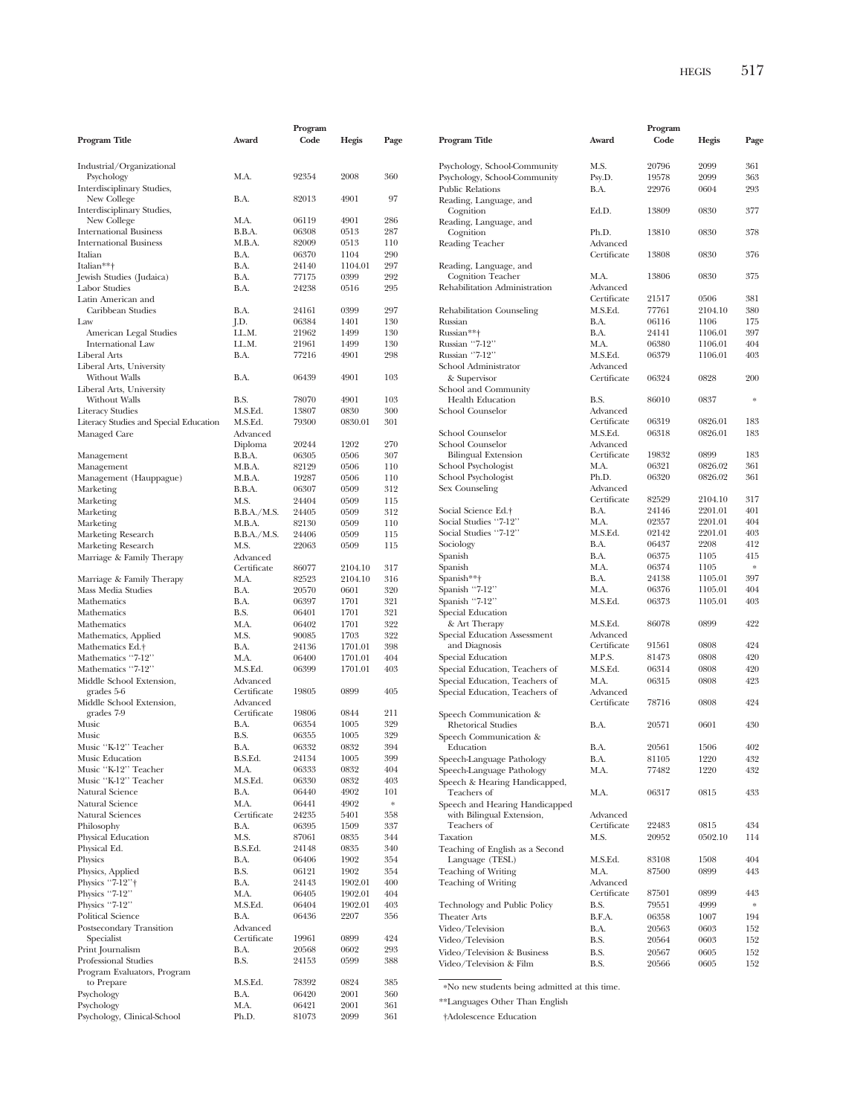|                                                                |                         | Program        |                 |            |                                                   |                         | Program        |                    |               |
|----------------------------------------------------------------|-------------------------|----------------|-----------------|------------|---------------------------------------------------|-------------------------|----------------|--------------------|---------------|
| Program Title                                                  | Award                   | Code           | Hegis           | Page       | Program Title                                     | Award                   | Code           | Hegis              | Page          |
| Industrial/Organizational                                      |                         |                |                 |            | Psychology, School-Community                      | M.S.                    | 20796          | 2099               | 361           |
| Psychology                                                     | M.A.                    | 92354          | 2008            | 360        | Psychology, School-Community                      | Psy.D.                  | 19578          | 2099               | 363           |
| Interdisciplinary Studies,                                     |                         |                |                 |            | <b>Public Relations</b>                           | B.A.                    | 22976          | 0604               | 293           |
| New College                                                    | B.A.                    | 82013          | 4901            | 97         | Reading, Language, and                            |                         |                |                    |               |
| Interdisciplinary Studies,                                     |                         |                |                 |            | Cognition                                         | Ed.D.                   | 13809          | 0830               | 377           |
| New College                                                    | M.A.                    | 06119<br>06308 | 4901<br>0513    | 286<br>287 | Reading, Language, and                            |                         |                |                    |               |
| <b>International Business</b><br><b>International Business</b> | B.B.A.<br>M.B.A.        | 82009          | 0513            | 110        | Cognition<br>Reading Teacher                      | Ph.D.<br>Advanced       | 13810          | 0830               | 378           |
| Italian                                                        | B.A.                    | 06370          | 1104            | 290        |                                                   | Certificate             | 13808          | 0830               | 376           |
| Italian**+                                                     | B.A.                    | 24140          | 1104.01         | 297        | Reading, Language, and                            |                         |                |                    |               |
| Jewish Studies (Judaica)                                       | B.A.                    | 77175          | 0399            | 292        | Cognition Teacher                                 | M.A.                    | 13806          | 0830               | 375           |
| Labor Studies                                                  | B.A.                    | 24238          | 0516            | 295        | Rehabilitation Administration                     | Advanced                |                |                    |               |
| Latin American and                                             |                         |                |                 |            |                                                   | Certificate             | 21517          | 0506               | 381           |
| Caribbean Studies                                              | B.A.                    | 24161          | 0399            | 297        | Rehabilitation Counseling                         | M.S.Ed.                 | 77761          | 2104.10            | 380           |
| Law                                                            | J.D.                    | 06384          | 1401            | 130        | Russian                                           | B.A.                    | 06116          | 1106               | 175           |
| American Legal Studies                                         | LL.M.<br>LL.M.          | 21962          | 1499<br>1499    | 130        | Russian**+                                        | B.A.<br>M.A.            | 24141          | 1106.01            | 397<br>404    |
| International Law<br>Liberal Arts                              | B.A.                    | 21961<br>77216 | 4901            | 130<br>298 | Russian "7-12"<br>Russian "7-12"                  | M.S.Ed.                 | 06380<br>06379 | 1106.01<br>1106.01 | 403           |
| Liberal Arts, University                                       |                         |                |                 |            | School Administrator                              | Advanced                |                |                    |               |
| Without Walls                                                  | B.A.                    | 06439          | 4901            | 103        | & Supervisor                                      | Certificate             | 06324          | 0828               | 200           |
| Liberal Arts, University                                       |                         |                |                 |            | School and Community                              |                         |                |                    |               |
| Without Walls                                                  | B.S.                    | 78070          | 4901            | 103        | Health Education                                  | B.S.                    | 86010          | 0837               | $\ast$        |
| <b>Literacy Studies</b>                                        | M.S.Ed.                 | 13807          | 0830            | 300        | School Counselor                                  | Advanced                |                |                    |               |
| Literacy Studies and Special Education                         | M.S.Ed.                 | 79300          | 0830.01         | 301        |                                                   | Certificate             | 06319          | 0826.01            | 183           |
| Managed Care                                                   | Advanced                |                |                 |            | School Counselor                                  | M.S.Ed.                 | 06318          | 0826.01            | 183           |
|                                                                | Diploma                 | 20244          | 1202            | 270        | School Counselor                                  | Advanced<br>Certificate |                | 0899               | 183           |
| Management                                                     | B.B.A.<br>M.B.A.        | 06305<br>82129 | 0506<br>0506    | 307<br>110 | <b>Bilingual Extension</b><br>School Psychologist | M.A.                    | 19832<br>06321 | 0826.02            | 361           |
| Management<br>Management (Hauppague)                           | M.B.A.                  | 19287          | 0506            | 110        | School Psychologist                               | Ph.D.                   | 06320          | 0826.02            | 361           |
| Marketing                                                      | B.B.A.                  | 06307          | 0509            | 312        | Sex Counseling                                    | Advanced                |                |                    |               |
| Marketing                                                      | M.S.                    | 24404          | 0509            | 115        |                                                   | Certificate             | 82529          | 2104.10            | 317           |
| Marketing                                                      | B.B.A./M.S.             | 24405          | 0509            | 312        | Social Science Ed. <sup>+</sup>                   | B.A.                    | 24146          | 2201.01            | 401           |
| Marketing                                                      | M.B.A.                  | 82130          | 0509            | 110        | Social Studies "7-12"                             | M.A.                    | 02357          | 2201.01            | 404           |
| Marketing Research                                             | B.B.A./M.S.             | 24406          | 0509            | 115        | Social Studies "7-12"                             | M.S.Ed.                 | 02142          | 2201.01            | 403           |
| Marketing Research                                             | M.S.                    | 22063          | 0509            | 115        | Sociology                                         | B.A.                    | 06437          | 2208               | 412           |
| Marriage & Family Therapy                                      | Advanced                |                |                 |            | Spanish                                           | B.A.                    | 06375          | 1105               | 415           |
|                                                                | Certificate             | 86077          | 2104.10         | 317        | Spanish<br>Spanish**†                             | M.A.<br>B.A.            | 06374<br>24138 | 1105<br>1105.01    | $\ast$<br>397 |
| Marriage & Family Therapy<br>Mass Media Studies                | M.A.<br>B.A.            | 82523<br>20570 | 2104.10<br>0601 | 316<br>320 | Spanish "7-12"                                    | M.A.                    | 06376          | 1105.01            | 404           |
| Mathematics                                                    | B.A.                    | 06397          | 1701            | 321        | Spanish "7-12"                                    | M.S.Ed.                 | 06373          | 1105.01            | 403           |
| Mathematics                                                    | B.S.                    | 06401          | 1701            | 321        | Special Education                                 |                         |                |                    |               |
| Mathematics                                                    | M.A.                    | 06402          | 1701            | 322        | & Art Therapy                                     | M.S.Ed.                 | 86078          | 0899               | 422           |
| Mathematics, Applied                                           | M.S.                    | 90085          | 1703            | 322        | Special Education Assessment                      | Advanced                |                |                    |               |
| Mathematics Ed.+                                               | B.A.                    | 24136          | 1701.01         | 398        | and Diagnosis                                     | Certificate             | 91561          | 0808               | 424           |
| Mathematics "7-12"                                             | M.A.                    | 06400          | 1701.01         | 404        | Special Education                                 | M.P.S.                  | 81473          | 0808               | 420           |
| Mathematics "7-12"                                             | M.S.Ed.                 | 06399          | 1701.01         | 403        | Special Education, Teachers of                    | M.S.Ed.                 | 06314          | 0808               | 420           |
| Middle School Extension,                                       | Advanced                |                |                 |            | Special Education, Teachers of                    | M.A.                    | 06315          | 0808               | 423           |
| grades 5-6<br>Middle School Extension,                         | Certificate<br>Advanced | 19805          | 0899            | 405        | Special Education, Teachers of                    | Advanced<br>Certificate | 78716          | 0808               | 424           |
| grades 7-9                                                     | Certificate             | 19806          | 0844            | 211        | Speech Communication &                            |                         |                |                    |               |
| Music                                                          | B.A.                    | 06354          | 1005            | 329        | <b>Rhetorical Studies</b>                         | B.A.                    | 20571          | 0601               | 430           |
| Music                                                          | B.S.                    | 06355          | 1005            | 329        | Speech Communication &                            |                         |                |                    |               |
| Music "K-12" Teacher                                           | B.A.                    | 06332          | 0832            | 394        | Education                                         | B.A.                    | 20561          | 1506               | 402           |
| Music Education                                                | B.S.Ed.                 | 24134          | 1005            | 399        | Speech-Language Pathology                         | B.A.                    | 81105          | 1220               | 432           |
| Music "K-12" Teacher                                           | M.A.                    | 06333          | 0832            | 404        | Speech-Language Pathology                         | M.A.                    | 77482          | 1220               | 432           |
| Music "K-12" Teacher                                           | M.S.Ed.                 | 06330          | 0832            | 403        | Speech & Hearing Handicapped,                     |                         |                |                    |               |
| Natural Science                                                | B.A.                    | 06440          | 4902            | 101        | Teachers of                                       | M.A.                    | 06317          | 0815               | 433           |
| Natural Science                                                | M.A.                    | 06441          | 4902            | $\ast$     | Speech and Hearing Handicapped                    |                         |                |                    |               |
| Natural Sciences<br>Philosophy                                 | Certificate<br>B.A.     | 24235<br>06395 | 5401<br>1509    | 358<br>337 | with Bilingual Extension,<br>Teachers of          | Advanced<br>Certificate | 22483          | 0815               | 434           |
| Physical Education                                             | M.S.                    | 87061          | 0835            | 344        | Taxation                                          | M.S.                    | 20952          | 0502.10            | 114           |
| Physical Ed.                                                   | B.S.Ed.                 | 24148          | 0835            | 340        | Teaching of English as a Second                   |                         |                |                    |               |
| Physics                                                        | B.A.                    | 06406          | 1902            | 354        | Language (TESL)                                   | M.S.Ed.                 | 83108          | 1508               | 404           |
| Physics, Applied                                               | B.S.                    | 06121          | 1902            | 354        | <b>Teaching of Writing</b>                        | M.A.                    | 87500          | 0899               | 443           |
| Physics "7-12"†                                                | B.A.                    | 24143          | 1902.01         | 400        | <b>Teaching of Writing</b>                        | Advanced                |                |                    |               |
| Physics "7-12"                                                 | M.A.                    | 06405          | 1902.01         | 404        |                                                   | Certificate             | 87501          | 0899               | 443           |
| Physics "7-12"                                                 | M.S.Ed.                 | 06404          | 1902.01         | 403        | Technology and Public Policy                      | B.S.                    | 79551          | 4999               | $\ast$        |
| <b>Political Science</b>                                       | B.A.                    | 06436          | 2207            | 356        | <b>Theater Arts</b>                               | B.F.A.                  | 06358          | 1007               | 194           |
| Postsecondary Transition                                       | Advanced                |                |                 |            | Video/Television                                  | B.A.                    | 20563          | 0603               | 152           |
| Specialist                                                     | Certificate<br>B.A.     | 19961<br>20568 | 0899<br>0602    | 424<br>293 | Video/Television                                  | B.S.                    | 20564          | 0603               | 152           |
| Print Journalism<br>Professional Studies                       | B.S.                    | 24153          | 0599            | 388        | Video/Television & Business                       | B.S.                    | 20567          | 0605               | 152           |
| Program Evaluators, Program                                    |                         |                |                 |            | Video/Television & Film                           | B.S.                    | 20566          | 0605               | 152           |
| to Prepare                                                     | M.S.Ed.                 | 78392          | 0824            | 385        |                                                   |                         |                |                    |               |
| Psychology                                                     | B.A.                    | 06420          | 2001            | 360        | *No new students being admitted at this time.     |                         |                |                    |               |
| Psychology                                                     | M.A.                    | 06421          | 2001            | 361        | **Languages Other Than English                    |                         |                |                    |               |
| Psychology, Clinical-School                                    | Ph.D.                   | 81073          | 2099            | 361        | †Adolescence Education                            |                         |                |                    |               |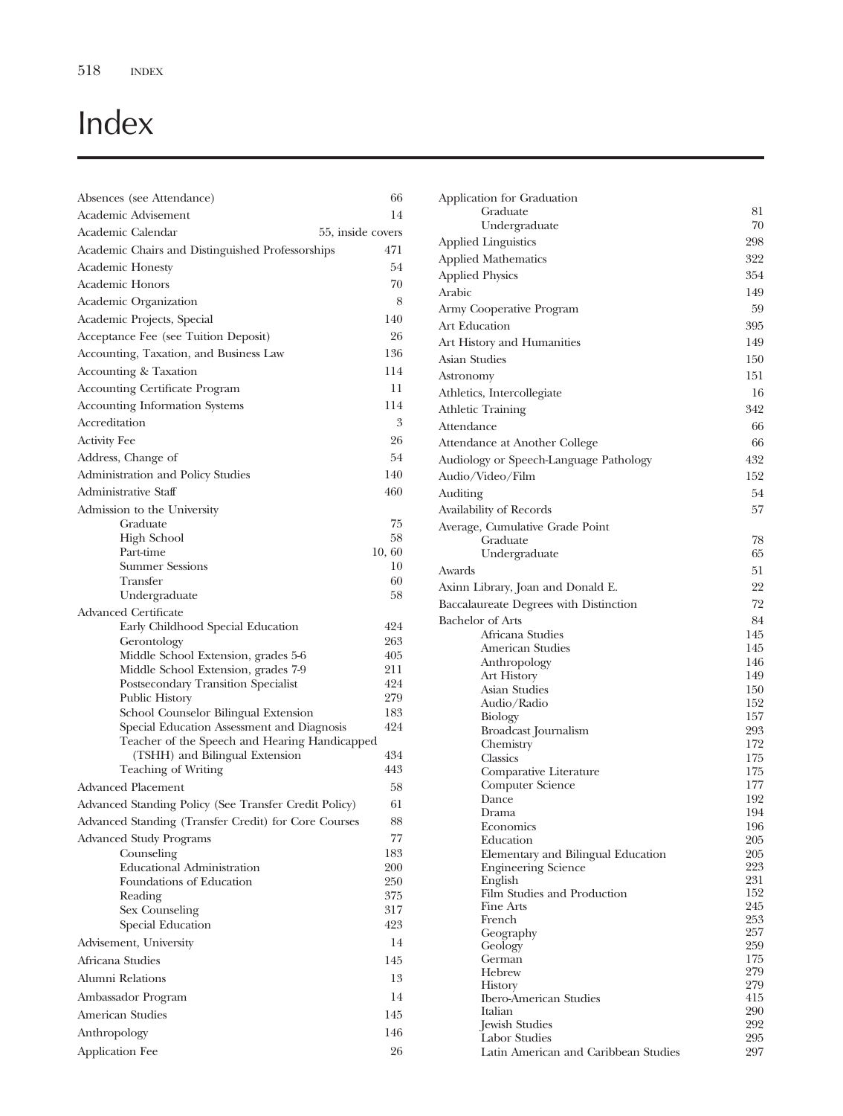## Index

| Absences (see Attendance)                                                          | 66         |
|------------------------------------------------------------------------------------|------------|
| Academic Advisement                                                                | 14         |
| Academic Calendar<br>55, inside covers                                             |            |
| Academic Chairs and Distinguished Professorships                                   | 471        |
| <b>Academic Honesty</b>                                                            | 54         |
| Academic Honors                                                                    | 70         |
| Academic Organization                                                              | 8          |
| Academic Projects, Special                                                         | 140        |
| Acceptance Fee (see Tuition Deposit)                                               | 26         |
| Accounting, Taxation, and Business Law                                             | 136        |
| Accounting & Taxation                                                              | 114        |
| <b>Accounting Certificate Program</b>                                              | 11         |
| <b>Accounting Information Systems</b>                                              | 114        |
| Accreditation                                                                      | 3          |
| <b>Activity Fee</b>                                                                | 26         |
| Address, Change of                                                                 | 54         |
| Administration and Policy Studies                                                  | 140        |
| Administrative Staff                                                               | 460        |
| Admission to the University                                                        |            |
| Graduate                                                                           | 75         |
| High School                                                                        | 58         |
| Part-time                                                                          | 10, 60     |
| <b>Summer Sessions</b>                                                             | 10         |
| Transfer<br>Undergraduate                                                          | 60<br>58   |
| <b>Advanced Certificate</b>                                                        |            |
| Early Childhood Special Education                                                  | 424        |
| Gerontology                                                                        | 263        |
| Middle School Extension, grades 5-6                                                | 405        |
| Middle School Extension, grades 7-9                                                | 211        |
| Postsecondary Transition Specialist                                                | 424        |
| Public History                                                                     | 279<br>183 |
| School Counselor Bilingual Extension<br>Special Education Assessment and Diagnosis | 424        |
| Teacher of the Speech and Hearing Handicapped                                      |            |
| (TSHH) and Bilingual Extension                                                     | 434        |
| <b>Teaching of Writing</b>                                                         | 443        |
| <b>Advanced Placement</b>                                                          | 58         |
| Advanced Standing Policy (See Transfer Credit Policy)                              | 61         |
| Advanced Standing (Transfer Credit) for Core Courses                               | 88         |
| <b>Advanced Study Programs</b>                                                     | 77         |
| Counseling                                                                         | 183        |
| Educational Administration                                                         | 200        |
| Foundations of Education                                                           | 250        |
| Reading<br>Sex Counseling                                                          | 375<br>317 |
| Special Education                                                                  | 423        |
| Advisement, University                                                             | 14         |
| Africana Studies                                                                   | 145        |
| Alumni Relations                                                                   | 13         |
|                                                                                    |            |
| Ambassador Program                                                                 | 14         |
| American Studies                                                                   | 145        |
| Anthropology                                                                       | 146        |
| Application Fee                                                                    | 26         |

| Application for Graduation                  |            |
|---------------------------------------------|------------|
| Graduate                                    | 81         |
| Undergraduate                               | 70         |
| <b>Applied Linguistics</b>                  | 298        |
| <b>Applied Mathematics</b>                  | 322        |
| <b>Applied Physics</b>                      | 354        |
| Arabic                                      | 149        |
| Army Cooperative Program                    | 59         |
| Art Education                               | 395        |
| Art History and Humanities                  | 149        |
| Asian Studies                               | 150        |
| Astronomy                                   | 151        |
| Athletics, Intercollegiate                  | 16         |
| <b>Athletic Training</b>                    | 342        |
| Attendance                                  | 66         |
| Attendance at Another College               | 66         |
| Audiology or Speech-Language Pathology      | 432        |
| Audio/Video/Film                            | 152        |
| Auditing                                    | 54         |
|                                             | 57         |
| Availability of Records                     |            |
| Average, Cumulative Grade Point<br>Graduate | 78         |
| Undergraduate                               | 65         |
| Awards                                      | 51         |
| Axinn Library, Joan and Donald E.           | 22         |
| Baccalaureate Degrees with Distinction      | 72         |
| <b>Bachelor</b> of Arts                     | 84         |
| Africana Studies                            | 145        |
| American Studies                            | 145        |
| Anthropology                                | 146        |
| Art History                                 | 149        |
| Asian Studies                               | 150        |
| Audio/Radio                                 | 152        |
| Biology                                     | 157        |
| Broadcast Journalism                        | 293        |
| Chemistry<br>Classics                       | 172<br>175 |
| Comparative Literature                      | 175        |
| Computer Science                            | 177        |
| Dance                                       | 192        |
| Drama                                       | 194        |
| Economics                                   | 196        |
| Education                                   | 205        |
| Elementary and Bilingual Education          | 205<br>223 |
| <b>Engineering Science</b><br>English       | 231        |
| Film Studies and Production                 | 152        |
| Fine Arts                                   | 245        |
| French                                      | 253        |
| Geography                                   | 257        |
| Geology                                     | 259        |
| German<br>Hebrew                            | 175<br>279 |
| <b>History</b>                              | 279        |
| <b>Ibero-American Studies</b>               | 415        |
| Italian                                     | 290        |
| Jewish Studies                              | 292        |
| Labor Studies                               | 295<br>297 |
| Latin American and Caribbean Studies        |            |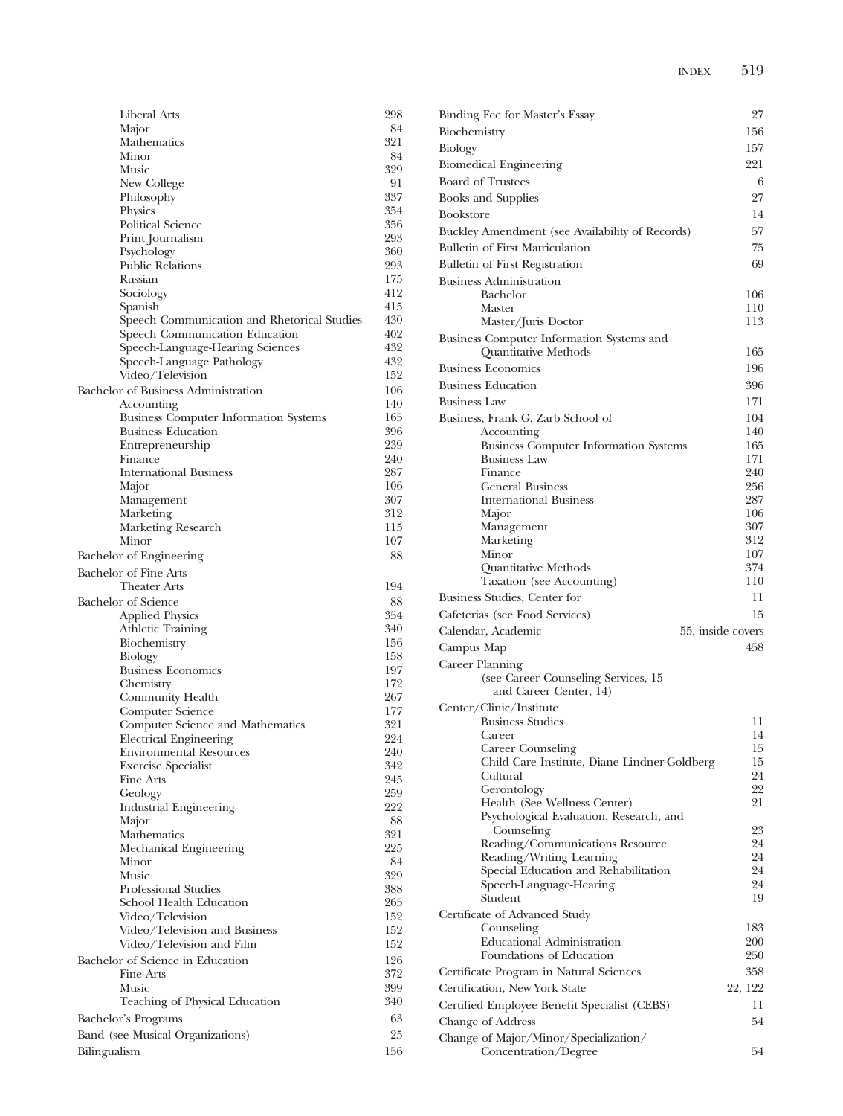| Liberal Arts                                             | 298        |
|----------------------------------------------------------|------------|
| Major                                                    | 84         |
| Mathematics                                              | 321        |
| Minor                                                    | 84         |
| Music<br>New College                                     | 329<br>91  |
| Philosophy                                               | 337        |
| Physics                                                  | 354        |
| Political Science                                        | 356        |
| Print Journalism                                         | 293        |
| Psychology                                               | 360        |
| <b>Public Relations</b>                                  | 293        |
| Russian                                                  | 175        |
| Sociology<br>Spanish                                     | 412<br>415 |
| Speech Communication and Rhetorical Studies              | 430        |
| Speech Communication Education                           | 402        |
| Speech-Language-Hearing Sciences                         | 432        |
| Speech-Language Pathology                                | 432        |
| Video/Television                                         | 152        |
| Bachelor of Business Administration                      | 106        |
| Accounting                                               | 140        |
| <b>Business Computer Information Systems</b>             | 165        |
| <b>Business Education</b><br>Entrepreneurship            | 396<br>239 |
| Finance                                                  | 240        |
| <b>International Business</b>                            | 287        |
| Major                                                    | 106        |
| Management                                               | 307        |
| Marketing                                                | 312        |
| Marketing Research                                       | 115        |
| Minor                                                    | 107        |
| Bachelor of Engineering                                  | 88         |
| <b>Bachelor of Fine Arts</b>                             |            |
| <b>Theater Arts</b>                                      | 194        |
| <b>Bachelor</b> of Science                               | 88<br>354  |
| <b>Applied Physics</b><br>Athletic Training              | 340        |
| Biochemistry                                             | 156        |
| Biology                                                  | 158        |
| <b>Business Economics</b>                                | 197        |
| Chemistry                                                | 172        |
| Community Health                                         | 267        |
| Computer Science                                         | 177        |
| Computer Science and Mathematics                         | 321<br>224 |
| Electrical Engineering<br><b>Environmental Resources</b> | 240        |
| <b>Exercise Specialist</b>                               | 342        |
| Fine Arts                                                | 245        |
| Geology                                                  | 259        |
| <b>Industrial Engineering</b>                            | 222        |
| Major                                                    | 88         |
| Mathematics                                              | 321        |
| Mechanical Engineering<br>Minor                          | 225<br>84  |
| Music                                                    | 329        |
| Professional Studies                                     | 388        |
| School Health Education                                  | 265        |
| Video/Television                                         | 152        |
| Video/Television and Business                            | 152        |
| Video/Television and Film                                | 152        |
| Bachelor of Science in Education                         | 126        |
| Fine Arts                                                | 372        |
| Music                                                    | 399        |
| Teaching of Physical Education                           | 340        |
| Bachelor's Programs                                      | 63         |
| Band (see Musical Organizations)                         | 25         |
| Bilingualism                                             | 156        |

| Binding Fee for Master's Essay                                    | 27                |
|-------------------------------------------------------------------|-------------------|
| Biochemistry                                                      | 156               |
| <b>Biology</b>                                                    | 157               |
| <b>Biomedical Engineering</b>                                     | 221               |
| <b>Board of Trustees</b>                                          | 6                 |
| <b>Books and Supplies</b>                                         | 27                |
| <b>Bookstore</b>                                                  | 14                |
| Buckley Amendment (see Availability of Records)                   | 57                |
| Bulletin of First Matriculation                                   | 75                |
| <b>Bulletin of First Registration</b>                             | 69                |
| <b>Business Administration</b>                                    |                   |
| Bachelor                                                          | 106               |
| Master                                                            | 110               |
| Master/Juris Doctor                                               | 113               |
| Business Computer Information Systems and                         |                   |
| Quantitative Methods                                              | 165               |
| <b>Business Economics</b>                                         | 196               |
| <b>Business Education</b>                                         | 396               |
| <b>Business Law</b>                                               | 171               |
| Business, Frank G. Zarb School of                                 | 104               |
| Accounting<br><b>Business Computer Information Systems</b>        | 140<br>165        |
| <b>Business Law</b>                                               | 171               |
| Finance                                                           | 240               |
| <b>General Business</b>                                           | 256               |
| <b>International Business</b>                                     | 287               |
| Major<br>Management                                               | 106<br>307        |
| Marketing                                                         | 312               |
| Minor                                                             | 107               |
| Quantitative Methods                                              | 374               |
| Taxation (see Accounting)                                         | 110               |
| Business Studies, Center for                                      | 11                |
| Cafeterias (see Food Services)                                    | 15                |
| Calendar, Academic                                                | 55, inside covers |
| Campus Map                                                        | 458               |
| Career Planning                                                   |                   |
| (see Career Counseling Services, 15<br>and Career Center, 14)     |                   |
| Center/Clinic/Institute                                           |                   |
| <b>Business Studies</b>                                           | 11                |
| Career                                                            | 14                |
| Career Counseling<br>Child Care Institute, Diane Lindner-Goldberg | 15<br>15          |
| Cultural                                                          | 24                |
| Gerontology                                                       | 22                |
| Health (See Wellness Center)                                      | 21                |
| Psychological Evaluation, Research, and                           | 23                |
| Counseling<br>Reading/Communications Resource                     | 24                |
| Reading/Writing Learning                                          | 24                |
| Special Education and Rehabilitation                              | 24                |
| Speech-Language-Hearing                                           | 24                |
| Student                                                           | 19                |
| Certificate of Advanced Study                                     |                   |
| Counseling<br><b>Educational Administration</b>                   | 183<br>200        |
| Foundations of Education                                          | 250               |
| Certificate Program in Natural Sciences                           | 358               |
| Certification, New York State                                     | 22, 122           |
| Certified Employee Benefit Specialist (CEBS)                      | 11                |
| Change of Address                                                 | 54                |
| Change of Major/Minor/Specialization/                             |                   |
| Concentration/Degree                                              | 54                |
|                                                                   |                   |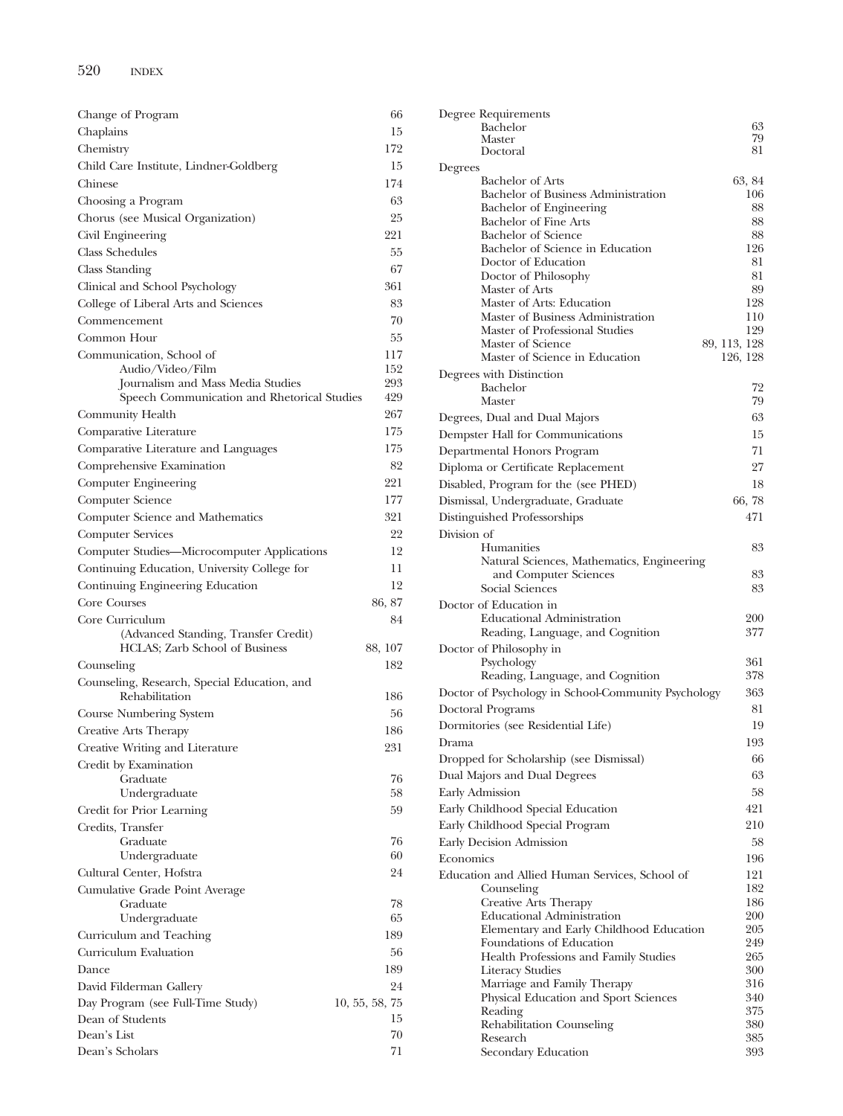| Change of Program                                     | 66             |
|-------------------------------------------------------|----------------|
| Chaplains                                             | 15             |
| Chemistry                                             | 172            |
| Child Care Institute, Lindner-Goldberg                | 15             |
| Chinese                                               | 174            |
| Choosing a Program                                    | 63             |
| Chorus (see Musical Organization)                     | 25             |
| Civil Engineering                                     | 221            |
| <b>Class Schedules</b>                                | 55             |
| Class Standing                                        | 67             |
| Clinical and School Psychology                        | 361            |
|                                                       | 83             |
| College of Liberal Arts and Sciences                  |                |
| Commencement                                          | 70             |
| Common Hour                                           | 55             |
| Communication, School of                              | 117<br>152     |
| Audio/Video/Film<br>Journalism and Mass Media Studies | 293            |
| Speech Communication and Rhetorical Studies           | 429            |
| Community Health                                      | 267            |
| Comparative Literature                                | 175            |
| Comparative Literature and Languages                  | 175            |
|                                                       | 82             |
| Comprehensive Examination                             | 221            |
| Computer Engineering                                  |                |
| Computer Science                                      | 177            |
| Computer Science and Mathematics                      | 321            |
| Computer Services                                     | 22             |
| Computer Studies-Microcomputer Applications           | 12             |
| Continuing Education, University College for          | 11             |
| Continuing Engineering Education                      | 12             |
| Core Courses                                          | 86, 87         |
| Core Curriculum                                       | 84             |
| (Advanced Standing, Transfer Credit)                  |                |
| HCLAS; Zarb School of Business                        | 88, 107        |
| Counseling                                            | 182            |
| Counseling, Research, Special Education, and          |                |
| Rehabilitation                                        | 186            |
| Course Numbering System                               | 56             |
| Creative Arts Therapy                                 | 186            |
| Creative Writing and Literature                       | 231            |
| Credit by Examination                                 |                |
| Graduate                                              | 76             |
| Undergraduate                                         | 58             |
| Credit for Prior Learning                             | 59             |
| Credits, Transfer                                     |                |
| Graduate<br>Undergraduate                             | 76<br>60       |
| Cultural Center, Hofstra                              | 24             |
|                                                       |                |
| Cumulative Grade Point Average<br>Graduate            | 78             |
| Undergraduate                                         | 65             |
| Curriculum and Teaching                               | 189            |
| Curriculum Evaluation                                 | 56             |
| Dance                                                 | 189            |
| David Filderman Gallery                               | 24             |
| Day Program (see Full-Time Study)                     | 10, 55, 58, 75 |
| Dean of Students                                      | 15             |
| Dean's List                                           | 70             |
| Dean's Scholars                                       | 71             |
|                                                       |                |

| Degree Requirements                                                  |               |
|----------------------------------------------------------------------|---------------|
| Bachelor<br>Master                                                   | 63<br>79      |
| Doctoral                                                             | 81            |
| Degrees                                                              |               |
| <b>Bachelor</b> of Arts<br>Bachelor of Business Administration       | 63, 84<br>106 |
| Bachelor of Engineering                                              | 88            |
| Bachelor of Fine Arts                                                | 88            |
| <b>Bachelor</b> of Science                                           | 88            |
| Bachelor of Science in Education                                     | 126           |
| Doctor of Education                                                  | 81<br>81      |
| Doctor of Philosophy<br>Master of Arts                               | 89            |
| Master of Arts: Education                                            | 128           |
| Master of Business Administration                                    | 110           |
| Master of Professional Studies                                       | 129           |
| Master of Science                                                    | 89, 113, 128  |
| Master of Science in Education                                       | 126, 128      |
| Degrees with Distinction<br>Bachelor                                 | 72            |
| Master                                                               | 79            |
| Degrees, Dual and Dual Majors                                        | 63            |
| Dempster Hall for Communications                                     | 15            |
| Departmental Honors Program                                          | 71            |
| Diploma or Certificate Replacement                                   | 27            |
| Disabled, Program for the (see PHED)                                 | 18            |
| Dismissal, Undergraduate, Graduate                                   | 66,78         |
| Distinguished Professorships                                         | 471           |
| Division of                                                          |               |
| Humanities<br>Natural Sciences, Mathematics, Engineering             | 83            |
| and Computer Sciences                                                | 83            |
| Social Sciences                                                      | 83            |
| Doctor of Education in                                               |               |
| <b>Educational Administration</b>                                    | 200<br>377    |
| Reading, Language, and Cognition<br>Doctor of Philosophy in          |               |
| Psychology                                                           | 361           |
| Reading, Language, and Cognition                                     | 378           |
| Doctor of Psychology in School-Community Psychology                  | 363           |
| Doctoral Programs                                                    | 81            |
| Dormitories (see Residential Life)                                   | 19            |
| Drama                                                                | 193           |
| Dropped for Scholarship (see Dismissal)                              | 66            |
| Dual Majors and Dual Degrees                                         | 63            |
| <b>Early Admission</b>                                               | 58            |
| Early Childhood Special Education                                    | 421           |
| Early Childhood Special Program                                      | 210           |
| Early Decision Admission                                             | 58            |
| Economics                                                            | 196           |
| Education and Allied Human Services, School of                       | 121           |
| Counseling                                                           | 182           |
| Creative Arts Therapy                                                | 186           |
| <b>Educational Administration</b>                                    | 200<br>205    |
| Elementary and Early Childhood Education<br>Foundations of Education | 249           |
| Health Professions and Family Studies                                | 265           |
| <b>Literacy Studies</b>                                              | 300           |
| Marriage and Family Therapy                                          | 316           |
| Physical Education and Sport Sciences<br>Reading                     | 340<br>375    |
| Rehabilitation Counseling                                            | 380           |
| Research                                                             | 385           |
| Secondary Education                                                  | 393           |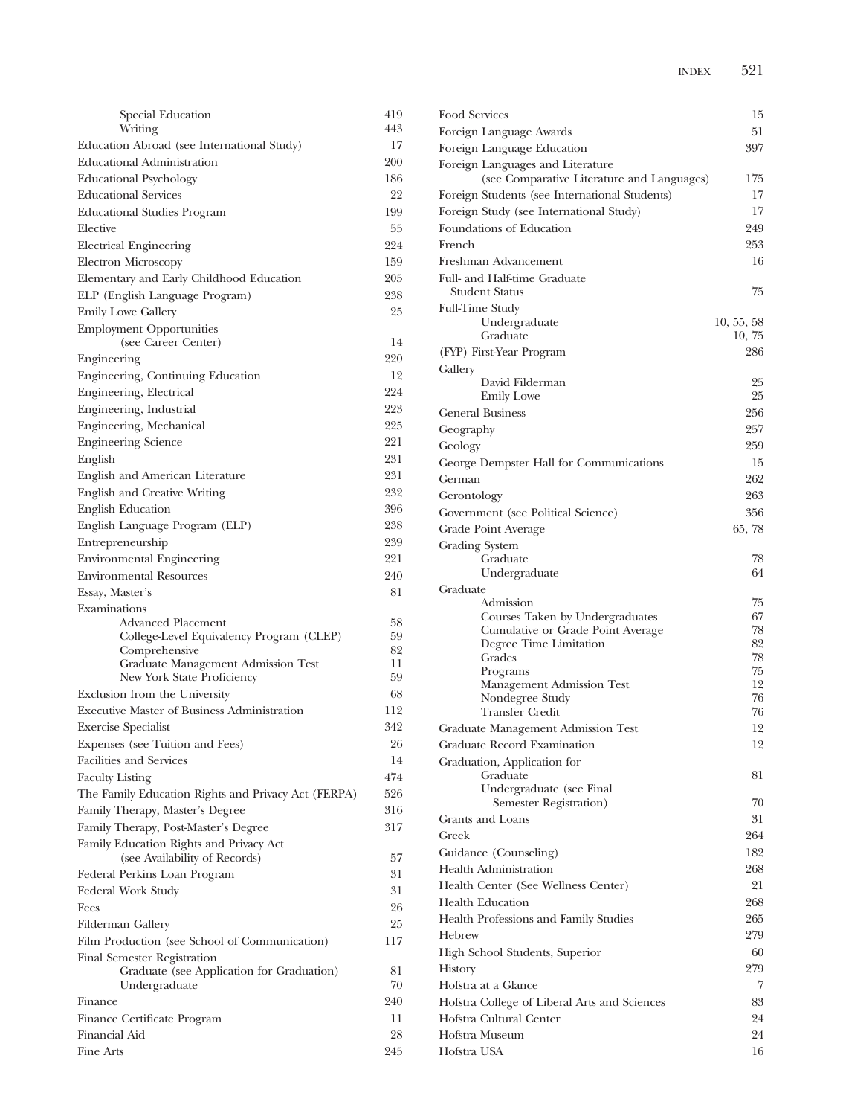| Special Education                                         | 419       |
|-----------------------------------------------------------|-----------|
| Writing                                                   | 443       |
| Education Abroad (see International Study)                | 17        |
| <b>Educational Administration</b>                         | 200       |
| <b>Educational Psychology</b>                             | 186       |
| <b>Educational Services</b>                               | 22        |
| <b>Educational Studies Program</b>                        | 199       |
| Elective                                                  | 55        |
| Electrical Engineering                                    | 224       |
| <b>Electron Microscopy</b>                                | 159       |
| Elementary and Early Childhood Education                  | 205       |
| ELP (English Language Program)                            | 238       |
| <b>Emily Lowe Gallery</b>                                 | 25        |
| <b>Employment Opportunities</b>                           |           |
| (see Career Center)                                       | 14        |
| Engineering                                               | 220       |
| Engineering, Continuing Education                         | 12        |
| Engineering, Electrical                                   | 224       |
| Engineering, Industrial                                   | 223       |
| Engineering, Mechanical                                   | 225       |
| <b>Engineering Science</b>                                | 221       |
| English                                                   | 231       |
| English and American Literature                           | 231       |
| English and Creative Writing                              | 232       |
| <b>English Education</b>                                  | 396       |
| English Language Program (ELP)                            | 238       |
| Entrepreneurship                                          | 239       |
| <b>Environmental Engineering</b>                          | 221       |
|                                                           |           |
|                                                           |           |
| <b>Environmental Resources</b>                            | 240       |
| Essay, Master's                                           | 81        |
| Examinations                                              |           |
| Advanced Placement                                        | 58<br>59  |
| College-Level Equivalency Program (CLEP)<br>Comprehensive | 82        |
| Graduate Management Admission Test                        | 11        |
| New York State Proficiency                                | 59        |
| Exclusion from the University                             | 68        |
| <b>Executive Master of Business Administration</b>        | 112       |
| <b>Exercise Specialist</b>                                | 342       |
| Expenses (see Tuition and Fees)                           | 26        |
| <b>Facilities and Services</b>                            | 14        |
| <b>Faculty Listing</b>                                    | 474       |
| The Family Education Rights and Privacy Act (FERPA)       | 526       |
| Family Therapy, Master's Degree                           | 316       |
| Family Therapy, Post-Master's Degree                      | 317       |
| Family Education Rights and Privacy Act                   |           |
| (see Availability of Records)                             | 57        |
| Federal Perkins Loan Program                              | 31        |
| Federal Work Study                                        | 31        |
| Fees                                                      | 26        |
| Filderman Gallery                                         | 25        |
| Film Production (see School of Communication)             | 117       |
| Final Semester Registration                               |           |
| Graduate (see Application for Graduation)                 | 81        |
| Undergraduate                                             | 70        |
| Finance                                                   | 240       |
| Finance Certificate Program                               | 11        |
| Financial Aid<br>Fine Arts                                | 28<br>245 |

| Food Services                                               | 15         |
|-------------------------------------------------------------|------------|
| Foreign Language Awards                                     | 51         |
| Foreign Language Education                                  | 397        |
| Foreign Languages and Literature                            |            |
| (see Comparative Literature and Languages)                  | 175        |
| Foreign Students (see International Students)               | 17         |
| Foreign Study (see International Study)                     | 17         |
| Foundations of Education                                    | 249        |
| French                                                      | 253        |
| Freshman Advancement                                        | 16         |
| Full- and Half-time Graduate<br>Student Status              | 75         |
| Full-Time Study                                             |            |
| Undergraduate                                               | 10, 55, 58 |
| Graduate                                                    | 10,75      |
| (FYP) First-Year Program                                    | 286        |
| Gallery<br>David Filderman                                  | 25         |
| <b>Emily Lowe</b>                                           | 25         |
| <b>General Business</b>                                     | 256        |
| Geography                                                   | 257        |
| Geology                                                     | 259        |
| George Dempster Hall for Communications                     | 15         |
| German                                                      | 262        |
| Gerontology                                                 | 263        |
| Government (see Political Science)                          | 356        |
| Grade Point Average                                         | 65, 78     |
| Grading System                                              |            |
| Graduate                                                    | 78         |
| Undergraduate                                               | 64         |
| Graduate                                                    |            |
| Admission                                                   | 75         |
| Courses Taken by Undergraduates                             | 67<br>78   |
| Cumulative or Grade Point Average<br>Degree Time Limitation | 82         |
| Grades                                                      | 78         |
| Programs                                                    | 75         |
| Management Admission Test                                   | 12         |
| Nondegree Study<br><b>Transfer Credit</b>                   | 76<br>76   |
| Graduate Management Admission Test                          | 12         |
| Graduate Record Examination                                 | 12         |
| Graduation, Application for                                 |            |
| Graduate                                                    | 81         |
| Undergraduate (see Final                                    |            |
| Semester Registration)                                      | 70         |
| Grants and Loans                                            | 31         |
| Greek                                                       | 264        |
| Guidance (Counseling)                                       | 182        |
| <b>Health Administration</b>                                | 268        |
| Health Center (See Wellness Center)                         | 21         |
| <b>Health Education</b>                                     | 268        |
| Health Professions and Family Studies                       | 265        |
| Hebrew                                                      | 279        |
| High School Students, Superior                              | 60         |
| History                                                     | 279        |
| Hofstra at a Glance                                         | 7          |
| Hofstra College of Liberal Arts and Sciences                | 83         |
| Hofstra Cultural Center                                     | 24         |
| Hofstra Museum                                              | 24         |
| Hofstra USA                                                 | 16         |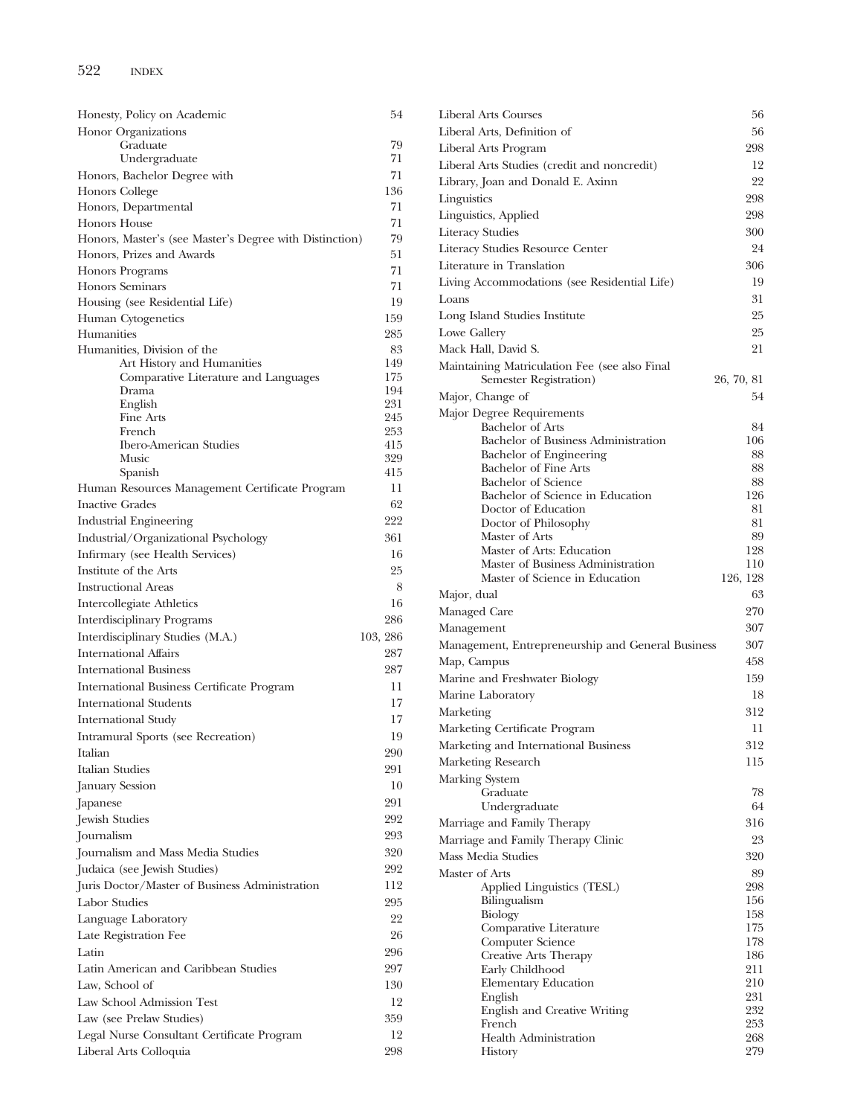| Honesty, Policy on Academic                             | 54         |
|---------------------------------------------------------|------------|
| Honor Organizations                                     |            |
| Graduate                                                | 79         |
| Undergraduate                                           | 71         |
| Honors, Bachelor Degree with                            | 71<br>136  |
| Honors College                                          | 71         |
| Honors, Departmental<br>Honors House                    | 71         |
| Honors, Master's (see Master's Degree with Distinction) | 79         |
| Honors, Prizes and Awards                               | 51         |
| <b>Honors Programs</b>                                  | 71         |
| <b>Honors</b> Seminars                                  | 71         |
| Housing (see Residential Life)                          | 19         |
| Human Cytogenetics                                      | 159        |
| Humanities                                              | 285        |
| Humanities, Division of the                             | 83         |
| Art History and Humanities                              | 149        |
| Comparative Literature and Languages                    | 175        |
| Drama                                                   | 194        |
| English<br>Fine Arts                                    | 231<br>245 |
| French                                                  | 253        |
| <b>Ibero-American Studies</b>                           | 415        |
| Music                                                   | 329        |
| Spanish                                                 | 415        |
| Human Resources Management Certificate Program          | 11         |
| <b>Inactive Grades</b>                                  | 62         |
| Industrial Engineering                                  | 222        |
| Industrial/Organizational Psychology                    | 361        |
| Infirmary (see Health Services)                         | 16         |
| Institute of the Arts                                   | 25         |
| <b>Instructional Areas</b>                              | 8          |
| Intercollegiate Athletics                               | 16         |
| Interdisciplinary Programs                              | 286        |
| Interdisciplinary Studies (M.A.)                        | 103, 286   |
| <b>International Affairs</b>                            | 287        |
| <b>International Business</b>                           | 287        |
| International Business Certificate Program              | 11         |
| <b>International Students</b>                           | 17         |
| International Study                                     | 17         |
| Intramural Sports (see Recreation)                      | 19         |
| Italian                                                 | 290        |
| Italian Studies                                         | 291        |
| January Session                                         | 10         |
| Japanese                                                | 291        |
| Jewish Studies                                          | 292        |
| Journalism                                              | 293        |
| Journalism and Mass Media Studies                       | 320        |
| Judaica (see Jewish Studies)                            | 292        |
| Juris Doctor/Master of Business Administration          | 112        |
| <b>Labor Studies</b>                                    | 295        |
| Language Laboratory                                     | 22         |
| Late Registration Fee                                   | 26         |
| Latin                                                   | 296        |
| Latin American and Caribbean Studies                    | 297        |
| Law, School of                                          | 130        |
| Law School Admission Test                               | 12         |
| Law (see Prelaw Studies)                                | 359        |
| Legal Nurse Consultant Certificate Program              | 12         |
| Liberal Arts Colloquia                                  | 298        |
|                                                         |            |

| 54         | Liberal Arts Courses                                                | 56               |
|------------|---------------------------------------------------------------------|------------------|
| 79         | Liberal Arts, Definition of                                         | 56               |
| 71         | Liberal Arts Program                                                | 298              |
| 71         | Liberal Arts Studies (credit and noncredit)                         | 12               |
| 136        | Library, Joan and Donald E. Axinn                                   | 22               |
| 71         | Linguistics                                                         | 298              |
| 71         | Linguistics, Applied                                                | 298              |
| 79<br>)    | <b>Literacy Studies</b>                                             | 300              |
| 51         | Literacy Studies Resource Center                                    | 24               |
| 71         | Literature in Translation                                           | 306              |
| 71         | Living Accommodations (see Residential Life)                        | 19               |
| 19         | Loans                                                               | 31               |
| 159        | Long Island Studies Institute                                       | 25               |
| 285        | Lowe Gallery                                                        | 25               |
| 83         | Mack Hall, David S.                                                 | 21               |
| 149<br>175 | Maintaining Matriculation Fee (see also Final                       |                  |
| 194        | Semester Registration)                                              | 26, 70, 81<br>54 |
| 231        | Major, Change of                                                    |                  |
| 245        | Major Degree Requirements<br><b>Bachelor</b> of Arts                | 84               |
| 253<br>415 | Bachelor of Business Administration                                 | 106              |
| 329        | Bachelor of Engineering                                             | 88               |
| 415        | Bachelor of Fine Arts                                               | 88               |
| 11         | <b>Bachelor of Science</b>                                          | 88               |
| 62         | Bachelor of Science in Education<br>Doctor of Education             | 126<br>81        |
| 222        | Doctor of Philosophy                                                | 81               |
| 361        | Master of Arts                                                      | 89               |
| 16         | Master of Arts: Education                                           | 128              |
| 25         | Master of Business Administration<br>Master of Science in Education | 110<br>126, 128  |
| 8          |                                                                     | 63               |
| 16         | Major, dual<br>Managed Care                                         | 270              |
| 286        | Management                                                          | 307              |
| 103, 286   | Management, Entrepreneurship and General Business                   | 307              |
| 287        | Map, Campus                                                         | 458              |
| 287        | Marine and Freshwater Biology                                       | 159              |
| 11         | Marine Laboratory                                                   | 18               |
| 17         | Marketing                                                           | 312              |
| 17         | Marketing Certificate Program                                       | 11               |
| 19         | Marketing and International Business                                | 312              |
| 290        | Marketing Research                                                  | 115              |
| 291        |                                                                     |                  |
| 10         | Marking System<br>Graduate                                          | 78               |
| 291        | Undergraduate                                                       | 64               |
| 292        | Marriage and Family Therapy                                         | 316              |
| 293        | Marriage and Family Therapy Clinic                                  | 23               |
| 320        | Mass Media Studies                                                  | 320              |
| 292        | Master of Arts                                                      | 89               |
| 112        | Applied Linguistics (TESL)                                          | 298              |
| 295        | Bilingualism                                                        | 156              |
| 22         | Biology<br>Comparative Literature                                   | 158<br>175       |
| 26         | Computer Science                                                    | 178              |
| 296        | Creative Arts Therapy                                               | 186              |
| 297        | Early Childhood                                                     | 211              |
| 130        | <b>Elementary Education</b>                                         | 210              |
| 12         | English<br>English and Creative Writing                             | 231<br>232       |
| 359        | French                                                              | 253              |
| 12         | <b>Health Administration</b>                                        | 268              |
| 298        | History                                                             | 279              |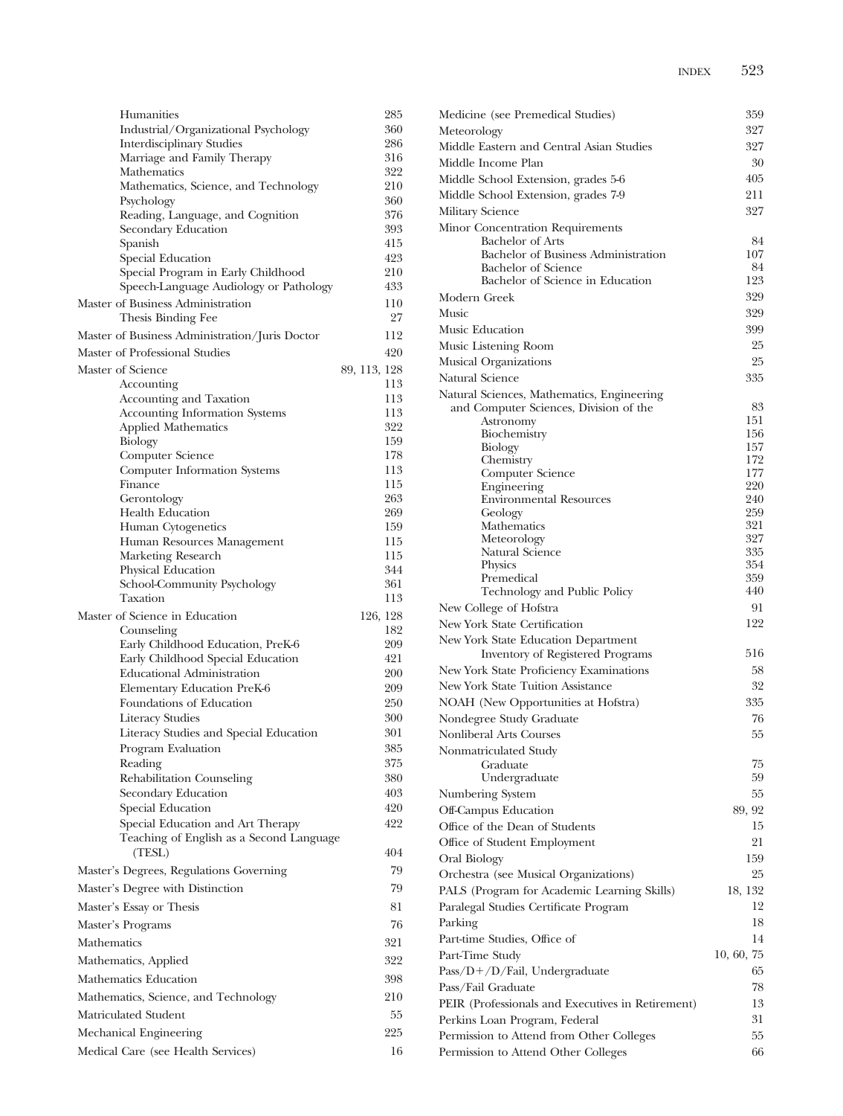| Humanities                                                                   | 285          |
|------------------------------------------------------------------------------|--------------|
| Industrial/Organizational Psychology                                         | 360          |
| <b>Interdisciplinary Studies</b>                                             | 286          |
| Marriage and Family Therapy<br>Mathematics                                   | 316<br>322   |
| Mathematics, Science, and Technology                                         | 210          |
| Psychology                                                                   | 360          |
| Reading, Language, and Cognition                                             | 376          |
| Secondary Education                                                          | 393          |
| Spanish                                                                      | 415          |
| Special Education                                                            | 423          |
| Special Program in Early Childhood<br>Speech-Language Audiology or Pathology | 210<br>433   |
| Master of Business Administration                                            | 110          |
| Thesis Binding Fee                                                           | 27           |
| Master of Business Administration/Juris Doctor                               | 112          |
| Master of Professional Studies                                               | 420          |
| Master of Science                                                            | 89, 113, 128 |
| Accounting                                                                   | 113          |
| Accounting and Taxation                                                      | 113          |
| <b>Accounting Information Systems</b>                                        | 113          |
| <b>Applied Mathematics</b>                                                   | 322<br>159   |
| Biology<br>Computer Science                                                  | 178          |
| <b>Computer Information Systems</b>                                          | 113          |
| Finance                                                                      | 115          |
| Gerontology                                                                  | 263          |
| <b>Health Education</b>                                                      | 269          |
| Human Cytogenetics                                                           | 159          |
| Human Resources Management                                                   | 115          |
| Marketing Research<br>Physical Education                                     | 115<br>344   |
| School-Community Psychology                                                  | 361          |
| Taxation                                                                     | 113          |
| Master of Science in Education                                               | 126, 128     |
| Counseling                                                                   | 182          |
| Early Childhood Education, PreK-6                                            | 209          |
| Early Childhood Special Education                                            | 421          |
| <b>Educational Administration</b>                                            | 200          |
| Elementary Education PreK-6<br>Foundations of Education                      | 209<br>250   |
| <b>Literacy Studies</b>                                                      | 300          |
| Literacy Studies and Special Education                                       | 301          |
| Program Evaluation                                                           | 385          |
| Reading                                                                      | 375          |
| Rehabilitation Counseling                                                    | 380          |
| Secondary Education                                                          | 403          |
| Special Education                                                            | 420          |
| Special Education and Art Therapy                                            | 422          |
| Teaching of English as a Second Language                                     | 404          |
| (TESL)<br>Master's Degrees, Regulations Governing                            | 79           |
| Master's Degree with Distinction                                             | 79           |
| Master's Essay or Thesis                                                     | 81           |
| Master's Programs                                                            | 76           |
| Mathematics                                                                  | 321          |
| Mathematics, Applied                                                         | 322          |
| Mathematics Education                                                        | 398          |
| Mathematics, Science, and Technology                                         | 210          |
| Matriculated Student                                                         | 55           |
| Mechanical Engineering                                                       | 225          |
| Medical Care (see Health Services)                                           | 16           |
|                                                                              |              |

| Medicine (see Premedical Studies)                 | 359        |
|---------------------------------------------------|------------|
| Meteorology                                       | 327        |
| Middle Eastern and Central Asian Studies          | 327        |
| Middle Income Plan                                | 30         |
| Middle School Extension, grades 5-6               | 405        |
| Middle School Extension, grades 7-9               | 211        |
| <b>Military Science</b>                           | 327        |
| Minor Concentration Requirements                  |            |
| <b>Bachelor of Arts</b>                           | 84         |
| Bachelor of Business Administration               | 107        |
| <b>Bachelor of Science</b>                        | 84         |
| Bachelor of Science in Education                  | 123        |
| Modern Greek                                      | 329        |
| Music                                             | 329        |
| Music Education                                   | 399        |
| Music Listening Room                              | 25         |
| <b>Musical Organizations</b>                      | 25         |
| Natural Science                                   | 335        |
| Natural Sciences, Mathematics, Engineering        |            |
| and Computer Sciences, Division of the            | 83<br>151  |
| Astronomy<br>Biochemistry                         | 156        |
| Biology                                           | 157        |
| Chemistry                                         | 172        |
| Computer Science                                  | 177        |
| Engineering                                       | 220<br>240 |
| <b>Environmental Resources</b><br>Geology         | 259        |
| Mathematics                                       | 321        |
| Meteorology                                       | 327        |
| Natural Science                                   | 335        |
| <b>Physics</b><br>Premedical                      | 354<br>359 |
| Technology and Public Policy                      | 440        |
| New College of Hofstra                            | 91         |
| New York State Certification                      | 122        |
| New York State Education Department               |            |
| <b>Inventory of Registered Programs</b>           | 516        |
| New York State Proficiency Examinations           | 58         |
| New York State Tuition Assistance                 | 32         |
| NOAH (New Opportunities at Hofstra)               | 335        |
| Nondegree Study Graduate                          | 76         |
| <b>Nonliberal Arts Courses</b>                    | 55         |
| Nonmatriculated Study                             |            |
| Graduate                                          | 75         |
| Undergraduate                                     | 59         |
| Numbering System                                  | 55         |
| Off-Campus Education                              | 89, 92     |
| Office of the Dean of Students                    | 15         |
| Office of Student Employment                      | 21         |
| Oral Biology                                      | 159        |
| Orchestra (see Musical Organizations)             | 25         |
| PALS (Program for Academic Learning Skills)       | 18, 132    |
| Paralegal Studies Certificate Program             | 12         |
| Parking                                           | 18         |
| Part-time Studies, Office of                      | 14         |
| Part-Time Study                                   | 10, 60, 75 |
| Pass/D+/D/Fail, Undergraduate                     | 65         |
| Pass/Fail Graduate                                | 78         |
| PEIR (Professionals and Executives in Retirement) | 13         |
| Perkins Loan Program, Federal                     | 31         |
| Permission to Attend from Other Colleges          | 55         |
| Permission to Attend Other Colleges               | 66         |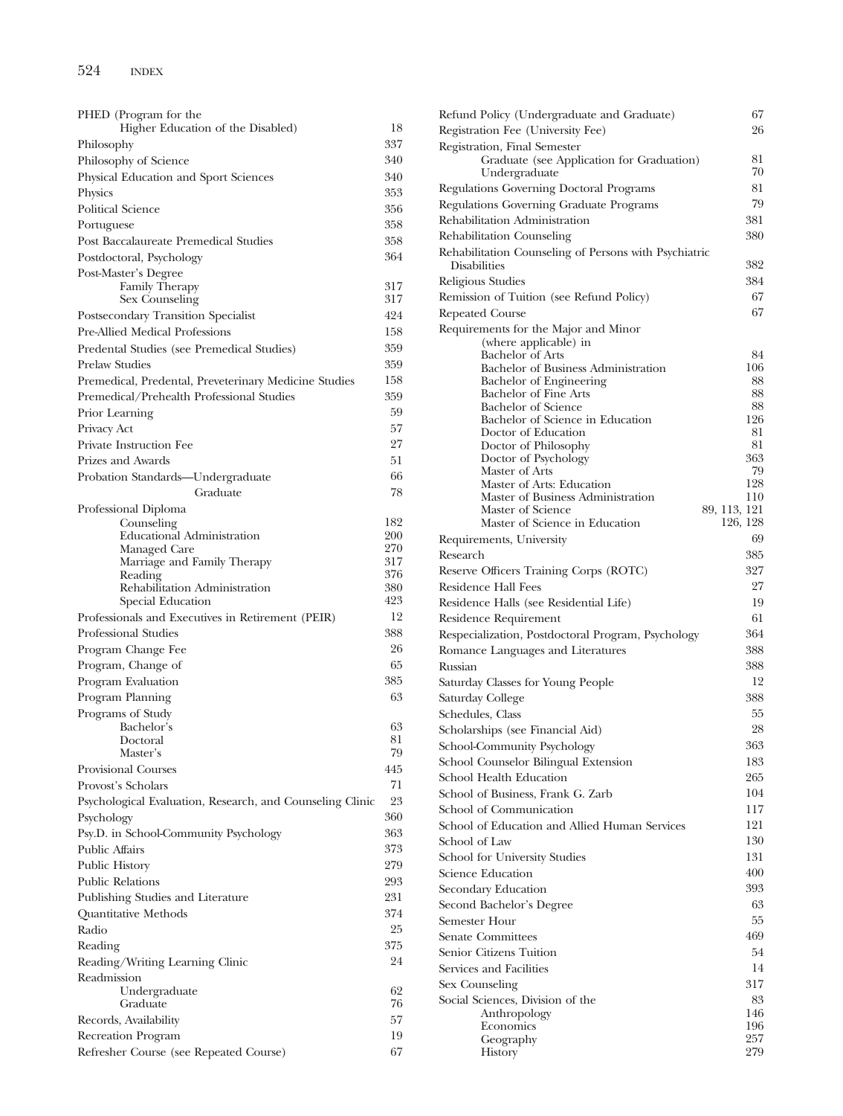| PHED (Program for the                                                                              |            |
|----------------------------------------------------------------------------------------------------|------------|
| Higher Education of the Disabled)                                                                  | 18         |
| Philosophy                                                                                         | 337        |
| Philosophy of Science                                                                              | 340        |
| Physical Education and Sport Sciences                                                              | 340        |
| Physics                                                                                            | 353        |
| <b>Political Science</b>                                                                           | 356        |
| Portuguese                                                                                         | 358        |
| Post Baccalaureate Premedical Studies                                                              | 358        |
| Postdoctoral, Psychology                                                                           | 364        |
| Post-Master's Degree                                                                               |            |
| <b>Family Therapy</b>                                                                              | 317        |
| Sex Counseling                                                                                     | 317<br>424 |
| Postsecondary Transition Specialist<br>Pre-Allied Medical Professions                              |            |
|                                                                                                    | 158<br>359 |
| Predental Studies (see Premedical Studies)                                                         | 359        |
| <b>Prelaw Studies</b>                                                                              | 158        |
| Premedical, Predental, Preveterinary Medicine Studies<br>Premedical/Prehealth Professional Studies | 359        |
| Prior Learning                                                                                     | 59         |
| Privacy Act                                                                                        | 57         |
| Private Instruction Fee                                                                            | 27         |
| Prizes and Awards                                                                                  | 51         |
| Probation Standards-Undergraduate                                                                  | 66         |
| Graduate                                                                                           | 78         |
| Professional Diploma                                                                               |            |
| Counseling                                                                                         | 182        |
| <b>Educational Administration</b>                                                                  | 200        |
| Managed Care                                                                                       | 270        |
| Marriage and Family Therapy<br>Reading                                                             | 317<br>376 |
| Rehabilitation Administration                                                                      | 380        |
| Special Education                                                                                  | 423        |
| Professionals and Executives in Retirement (PEIR)                                                  | 12         |
| Professional Studies                                                                               | 388        |
| Program Change Fee                                                                                 | 26         |
| Program, Change of                                                                                 | 65         |
| Program Evaluation                                                                                 | 385        |
| Program Planning                                                                                   | 63         |
| Programs of Study                                                                                  |            |
| Bachelor's                                                                                         | 63         |
| Doctoral<br>Master's                                                                               | 81<br>79   |
| <b>Provisional Courses</b>                                                                         | 445        |
| Provost's Scholars                                                                                 | 71         |
| Psychological Evaluation, Research, and Counseling Clinic                                          | 23         |
| Psychology                                                                                         | 360        |
| Psy.D. in School-Community Psychology                                                              | 363        |
| <b>Public Affairs</b>                                                                              | 373        |
| <b>Public History</b>                                                                              | 279        |
| <b>Public Relations</b>                                                                            | 293        |
| Publishing Studies and Literature                                                                  | 231        |
| Quantitative Methods                                                                               | 374        |
| Radio                                                                                              | 25         |
| Reading                                                                                            | 375        |
| Reading/Writing Learning Clinic                                                                    | 24         |
| Readmission                                                                                        |            |
| Undergraduate                                                                                      | 62         |
| Graduate                                                                                           | 76         |
| Records, Availability                                                                              | 57         |
| Recreation Program                                                                                 | 19         |
| Refresher Course (see Repeated Course)                                                             | 67         |

| Refund Policy (Undergraduate and Graduate)                            |              | 67        |
|-----------------------------------------------------------------------|--------------|-----------|
| Registration Fee (University Fee)                                     |              | 26        |
| Registration, Final Semester                                          |              |           |
| Graduate (see Application for Graduation)                             |              | 81        |
| Undergraduate                                                         |              | 70        |
| Regulations Governing Doctoral Programs                               |              | 81        |
| Regulations Governing Graduate Programs                               |              | 79        |
| Rehabilitation Administration                                         |              | 381       |
| Rehabilitation Counseling                                             |              | 380       |
|                                                                       |              |           |
| Rehabilitation Counseling of Persons with Psychiatric<br>Disabilities |              | 382       |
|                                                                       |              |           |
| Religious Studies                                                     |              | 384       |
| Remission of Tuition (see Refund Policy)                              |              | 67        |
| Repeated Course                                                       |              | 67        |
| Requirements for the Major and Minor                                  |              |           |
| (where applicable) in                                                 |              |           |
| <b>Bachelor</b> of Arts<br>Bachelor of Business Administration        |              | 84<br>106 |
| Bachelor of Engineering                                               |              | 88        |
| <b>Bachelor of Fine Arts</b>                                          |              | 88        |
| <b>Bachelor</b> of Science                                            |              | 88        |
| Bachelor of Science in Education                                      |              | 126       |
| Doctor of Education                                                   |              | 81        |
| Doctor of Philosophy                                                  |              | 81        |
| Doctor of Psychology                                                  |              | 363       |
| Master of Arts                                                        |              | 79<br>128 |
| Master of Arts: Education<br>Master of Business Administration        |              | 110       |
| Master of Science                                                     | 89, 113, 121 |           |
| Master of Science in Education                                        | 126, 128     |           |
| Requirements, University                                              |              | 69        |
| Research                                                              |              | 385       |
| Reserve Officers Training Corps (ROTC)                                |              | 327       |
|                                                                       |              | 27        |
| Residence Hall Fees                                                   |              |           |
| Residence Halls (see Residential Life)                                |              | 19        |
| Residence Requirement                                                 |              | 61        |
| Respecialization, Postdoctoral Program, Psychology                    |              | 364       |
| Romance Languages and Literatures                                     |              | 388       |
| Russian                                                               |              | 388       |
| Saturday Classes for Young People                                     |              | 12        |
| Saturday College                                                      |              | 388       |
| Schedules, Class                                                      |              | 55        |
| Scholarships (see Financial Aid)                                      |              | 28        |
| School-Community Psychology                                           |              | 363       |
| School Counselor Bilingual Extension                                  |              | 183       |
| School Health Education                                               |              | 265       |
|                                                                       |              | 104       |
| School of Business, Frank G. Zarb                                     |              |           |
| School of Communication                                               |              | 117       |
| School of Education and Allied Human Services                         |              | 121       |
| School of Law                                                         |              | 130       |
| School for University Studies                                         |              | 131       |
| Science Education                                                     |              | 400       |
| Secondary Education                                                   |              | 393       |
| Second Bachelor's Degree                                              |              | 63        |
| Semester Hour                                                         |              | 55        |
| <b>Senate Committees</b>                                              |              | 469       |
| Senior Citizens Tuition                                               |              | 54        |
| Services and Facilities                                               |              | 14        |
|                                                                       |              |           |
| Sex Counseling                                                        |              | 317       |
| Social Sciences, Division of the                                      |              | 83<br>146 |
| Anthropology<br>Economics                                             |              | 196       |
| Geography                                                             |              | 257       |
| History                                                               |              | 279       |
|                                                                       |              |           |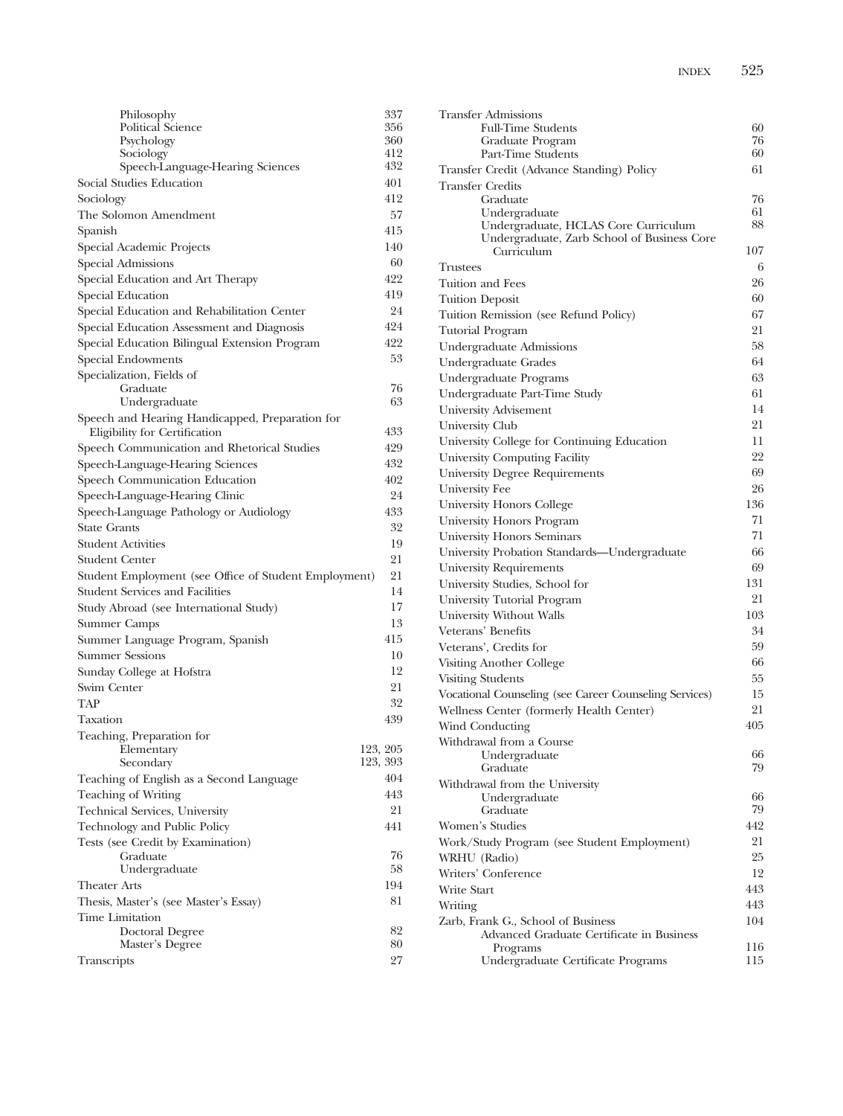| Philosophy                                                                       | 337        |
|----------------------------------------------------------------------------------|------------|
| Political Science                                                                | 356        |
| Psychology                                                                       | 360        |
| Sociology<br>Speech-Language-Hearing Sciences                                    | 412<br>432 |
|                                                                                  |            |
| Social Studies Education                                                         | 401        |
| Sociology                                                                        | 412        |
| The Solomon Amendment                                                            | 57         |
| Spanish                                                                          | 415        |
| Special Academic Projects                                                        | 140        |
| Special Admissions                                                               | 60         |
| Special Education and Art Therapy                                                | 422        |
| Special Education                                                                | 419        |
| Special Education and Rehabilitation Center                                      | 24         |
| Special Education Assessment and Diagnosis                                       | 424        |
| Special Education Bilingual Extension Program                                    | 422        |
| Special Endowments                                                               | 53         |
| Specialization, Fields of                                                        |            |
| Graduate                                                                         | 76<br>63   |
| Undergraduate                                                                    |            |
| Speech and Hearing Handicapped, Preparation for<br>Eligibility for Certification | 433        |
| Speech Communication and Rhetorical Studies                                      | 429        |
| Speech-Language-Hearing Sciences                                                 | 432        |
| Speech Communication Education                                                   | 402        |
| Speech-Language-Hearing Clinic                                                   | 24         |
| Speech-Language Pathology or Audiology                                           | 433        |
| <b>State Grants</b>                                                              | 32         |
| <b>Student Activities</b>                                                        | 19         |
| <b>Student Center</b>                                                            | 21         |
| Student Employment (see Office of Student Employment)                            | 21         |
| <b>Student Services and Facilities</b>                                           | 14         |
| Study Abroad (see International Study)                                           | 17         |
| Summer Camps                                                                     | 13         |
| Summer Language Program, Spanish                                                 | 415        |
| <b>Summer Sessions</b>                                                           | 10         |
| Sunday College at Hofstra                                                        | 12         |
| Swim Center                                                                      | 21         |
| <b>TAP</b>                                                                       | 32         |
| Taxation                                                                         | 439        |
| Teaching, Preparation for                                                        |            |
| Elementary                                                                       | 123, 205   |
| Secondary                                                                        | 123, 393   |
| Teaching of English as a Second Language                                         | 404        |
| <b>Teaching of Writing</b>                                                       | 443        |
| Technical Services, University                                                   | 21         |
| Technology and Public Policy                                                     | 441        |
| Tests (see Credit by Examination)                                                |            |
| Graduate                                                                         | 76         |
| Undergraduate                                                                    | 58         |
| <b>Theater Arts</b>                                                              | 194        |
| Thesis, Master's (see Master's Essay)                                            | 81         |
| Time Limitation                                                                  |            |
| Doctoral Degree                                                                  | 82         |
| Master's Degree                                                                  | 80         |
| Transcripts                                                                      | 27         |

| Transfer Admissions                                    |     |
|--------------------------------------------------------|-----|
| <b>Full-Time Students</b>                              | 60  |
| Graduate Program                                       | 76  |
| Part-Time Students                                     | 60  |
| Transfer Credit (Advance Standing) Policy              | 61  |
| <b>Transfer Credits</b>                                | 76  |
| Graduate<br>Undergraduate                              | 61  |
| Undergraduate, HCLAS Core Curriculum                   | 88  |
| Undergraduate, Zarb School of Business Core            |     |
| Curriculum                                             | 107 |
| Trustees                                               | 6   |
| Tuition and Fees                                       | 26  |
| <b>Tuition Deposit</b>                                 | 60  |
| Tuition Remission (see Refund Policy)                  | 67  |
| <b>Tutorial Program</b>                                | 21  |
| Undergraduate Admissions                               | 58  |
| Undergraduate Grades                                   | 64  |
| Undergraduate Programs                                 | 63  |
| Undergraduate Part-Time Study                          | 61  |
| University Advisement                                  | 14  |
| University Club                                        | 21  |
| University College for Continuing Education            | 11  |
| University Computing Facility                          | 22  |
| University Degree Requirements                         | 69  |
| University Fee                                         | 26  |
| <b>University Honors College</b>                       | 136 |
| University Honors Program                              | 71  |
| <b>University Honors Seminars</b>                      | 71  |
| University Probation Standards-Undergraduate           | 66  |
| <b>University Requirements</b>                         | 69  |
| University Studies, School for                         | 131 |
| University Tutorial Program                            | 21  |
| University Without Walls                               | 103 |
| Veterans' Benefits                                     | 34  |
| Veterans', Credits for                                 | 59  |
| Visiting Another College                               | 66  |
| <b>Visiting Students</b>                               | 55  |
| Vocational Counseling (see Career Counseling Services) | 15  |
| Wellness Center (formerly Health Center)               | 21  |
| Wind Conducting                                        | 405 |
| Withdrawal from a Course                               |     |
| Undergraduate                                          | 66  |
| Graduate                                               | 79  |
| Withdrawal from the University<br>Undergraduate        | 66  |
| Graduate                                               | 79  |
| Women's Studies                                        | 442 |
| Work/Study Program (see Student Employment)            | 21  |
| WRHU (Radio)                                           | 25  |
| Writers' Conference                                    | 12  |
| Write Start                                            | 443 |
| Writing                                                | 443 |
| Zarb, Frank G., School of Business                     | 104 |
| Advanced Graduate Certificate in Business              |     |
| Programs                                               | 116 |
| Undergraduate Certificate Programs                     | 115 |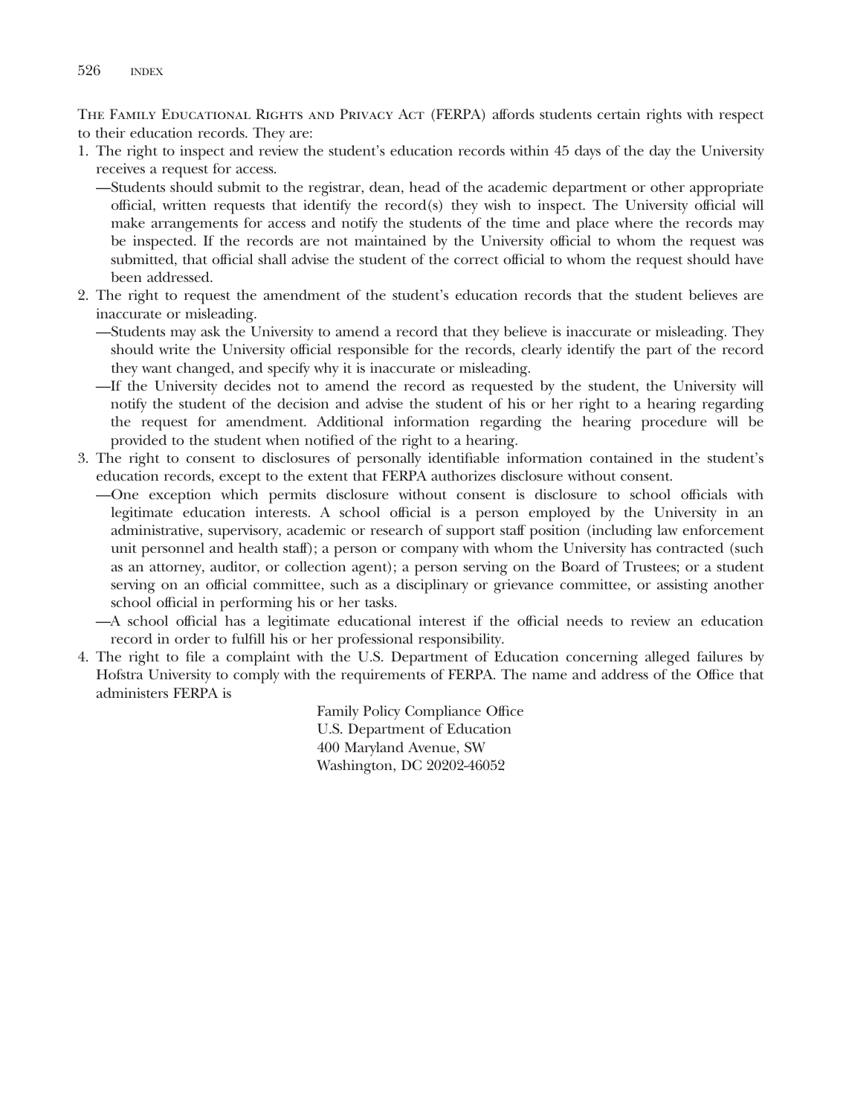THE FAMILY EDUCATIONAL RIGHTS AND PRIVACY ACT (FERPA) affords students certain rights with respect to their education records. They are:

- 1. The right to inspect and review the student's education records within 45 days of the day the University receives a request for access.
	- —Students should submit to the registrar, dean, head of the academic department or other appropriate official, written requests that identify the record(s) they wish to inspect. The University official will make arrangements for access and notify the students of the time and place where the records may be inspected. If the records are not maintained by the University official to whom the request was submitted, that official shall advise the student of the correct official to whom the request should have been addressed.
- 2. The right to request the amendment of the student's education records that the student believes are inaccurate or misleading.
	- —Students may ask the University to amend a record that they believe is inaccurate or misleading. They should write the University official responsible for the records, clearly identify the part of the record they want changed, and specify why it is inaccurate or misleading.
	- —If the University decides not to amend the record as requested by the student, the University will notify the student of the decision and advise the student of his or her right to a hearing regarding the request for amendment. Additional information regarding the hearing procedure will be provided to the student when notified of the right to a hearing.
- 3. The right to consent to disclosures of personally identifiable information contained in the student's education records, except to the extent that FERPA authorizes disclosure without consent.
	- —One exception which permits disclosure without consent is disclosure to school officials with legitimate education interests. A school official is a person employed by the University in an administrative, supervisory, academic or research of support staff position (including law enforcement unit personnel and health staff); a person or company with whom the University has contracted (such as an attorney, auditor, or collection agent); a person serving on the Board of Trustees; or a student serving on an official committee, such as a disciplinary or grievance committee, or assisting another school official in performing his or her tasks.
	- —A school official has a legitimate educational interest if the official needs to review an education record in order to fulfill his or her professional responsibility.
- 4. The right to file a complaint with the U.S. Department of Education concerning alleged failures by Hofstra University to comply with the requirements of FERPA. The name and address of the Office that administers FERPA is

Family Policy Compliance Office U.S. Department of Education 400 Maryland Avenue, SW Washington, DC 20202-46052